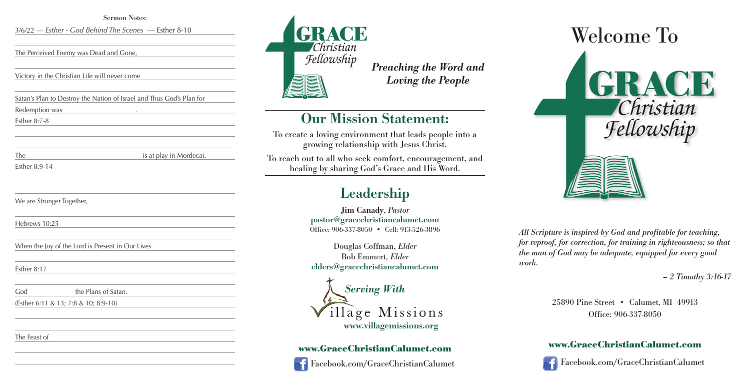



*All Scripture is inspired by God and profitable for teaching, for reproof, for correction, for training in righteousness; so that the man of God may be adequate, equipped for every good*

# *work.*



*– 2 Timothy 3:16-17*

25890 Pine Street • Calumet, MI 49913 Office: 906-337-8050

#### **www.GraceChristianCalumet.com**

Facebook.com/GraceChristianCalumet

*Preaching the Word and Loving the People*

### **Our Mission Statement:**

To create a loving environment that leads people into a growing relationship with Jesus Christ.

To reach out to all who seek comfort, encouragement, and healing by sharing God's Grace and His Word.

## **Leadership**

**Jim Canady**, *Pastor* **pastor@gracechristiancalumet.com** Office: 906-337-8050 • Cell: 913-526-3896

Douglas Coffman, *Elder* Bob Emmert*, Elder* **elders@gracechristiancalumet.com**



#### **www.GraceChristianCalumet.com**



Facebook.com/GraceChristianCalumet

Sermon Notes:

3/6/22 — *Esther - God Behind The Scenes* — Esther 8-10

The Perceived Enemy was Dead and Gone,

Victory in the Christian Life will never come

Satan's Plan to Destroy the Nation of Israel and Thus God's Plan for

Redemption was .

Esther 8:7-8

The is at play in Mordecai.

Esther 8:9-14

We are Stronger Together,

Hebrews 10:25

When the Joy of the Lord is Present in Our Lives

Esther 8:17

God the Plans of Satan.

(Esther 6:11 & 13; 7:8 & 10; 8:9-10)

The Feast of